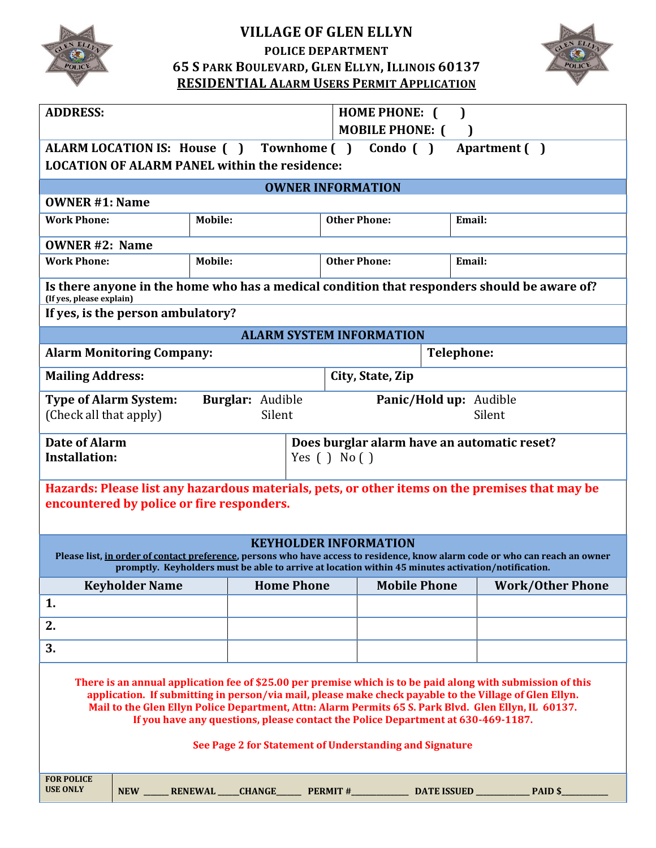

# **VILLAGE OF GLEN ELLYN**

**POLICE DEPARTMENT**

**65 S PARK BOULEVARD, GLEN ELLYN, ILLINOIS 60137 RESIDENTIAL ALARM USERS PERMIT APPLICATION**



| <b>ADDRESS:</b>                                                                                                                                                                                                                                                                                                                                                                                                                                                                                   |                       |                |                   | <b>HOME PHONE:</b> [<br><b>MOBILE PHONE: (</b> |                     |  |                                             |  |  |  |  |
|---------------------------------------------------------------------------------------------------------------------------------------------------------------------------------------------------------------------------------------------------------------------------------------------------------------------------------------------------------------------------------------------------------------------------------------------------------------------------------------------------|-----------------------|----------------|-------------------|------------------------------------------------|---------------------|--|---------------------------------------------|--|--|--|--|
| Condo $( )$<br>ALARM LOCATION IS: House () Townhome ()<br>Apartment ()<br><b>LOCATION OF ALARM PANEL within the residence:</b>                                                                                                                                                                                                                                                                                                                                                                    |                       |                |                   |                                                |                     |  |                                             |  |  |  |  |
| <b>OWNER INFORMATION</b>                                                                                                                                                                                                                                                                                                                                                                                                                                                                          |                       |                |                   |                                                |                     |  |                                             |  |  |  |  |
| <b>OWNER #1: Name</b>                                                                                                                                                                                                                                                                                                                                                                                                                                                                             |                       |                |                   |                                                |                     |  |                                             |  |  |  |  |
| <b>Work Phone:</b><br><b>Mobile:</b>                                                                                                                                                                                                                                                                                                                                                                                                                                                              |                       |                |                   |                                                | <b>Other Phone:</b> |  | Email:                                      |  |  |  |  |
| <b>OWNER #2: Name</b>                                                                                                                                                                                                                                                                                                                                                                                                                                                                             |                       |                |                   |                                                |                     |  |                                             |  |  |  |  |
| <b>Work Phone:</b>                                                                                                                                                                                                                                                                                                                                                                                                                                                                                |                       | <b>Mobile:</b> |                   | <b>Other Phone:</b>                            |                     |  | Email:                                      |  |  |  |  |
| Is there anyone in the home who has a medical condition that responders should be aware of?<br>(If yes, please explain)                                                                                                                                                                                                                                                                                                                                                                           |                       |                |                   |                                                |                     |  |                                             |  |  |  |  |
| If yes, is the person ambulatory?                                                                                                                                                                                                                                                                                                                                                                                                                                                                 |                       |                |                   |                                                |                     |  |                                             |  |  |  |  |
| <b>ALARM SYSTEM INFORMATION</b>                                                                                                                                                                                                                                                                                                                                                                                                                                                                   |                       |                |                   |                                                |                     |  |                                             |  |  |  |  |
| <b>Alarm Monitoring Company:</b>                                                                                                                                                                                                                                                                                                                                                                                                                                                                  |                       |                |                   | <b>Telephone:</b>                              |                     |  |                                             |  |  |  |  |
| <b>Mailing Address:</b>                                                                                                                                                                                                                                                                                                                                                                                                                                                                           |                       |                |                   | City, State, Zip                               |                     |  |                                             |  |  |  |  |
| <b>Burglar:</b> Audible<br><b>Type of Alarm System:</b><br>Silent<br>(Check all that apply)                                                                                                                                                                                                                                                                                                                                                                                                       |                       |                |                   | Panic/Hold up: Audible<br>Silent               |                     |  |                                             |  |  |  |  |
| <b>Date of Alarm</b>                                                                                                                                                                                                                                                                                                                                                                                                                                                                              |                       |                |                   |                                                |                     |  | Does burglar alarm have an automatic reset? |  |  |  |  |
| <b>Installation:</b>                                                                                                                                                                                                                                                                                                                                                                                                                                                                              |                       |                |                   | Yes $( )$ No $( )$                             |                     |  |                                             |  |  |  |  |
| Hazards: Please list any hazardous materials, pets, or other items on the premises that may be<br>encountered by police or fire responders.                                                                                                                                                                                                                                                                                                                                                       |                       |                |                   |                                                |                     |  |                                             |  |  |  |  |
| <b>KEYHOLDER INFORMATION</b><br>Please list, in order of contact preference, persons who have access to residence, know alarm code or who can reach an owner<br>promptly. Keyholders must be able to arrive at location within 45 minutes activation/notification.                                                                                                                                                                                                                                |                       |                |                   |                                                |                     |  |                                             |  |  |  |  |
|                                                                                                                                                                                                                                                                                                                                                                                                                                                                                                   | <b>Keyholder Name</b> |                | <b>Home Phone</b> |                                                | <b>Mobile Phone</b> |  | <b>Work/Other Phone</b>                     |  |  |  |  |
| 1.                                                                                                                                                                                                                                                                                                                                                                                                                                                                                                |                       |                |                   |                                                |                     |  |                                             |  |  |  |  |
| 2.                                                                                                                                                                                                                                                                                                                                                                                                                                                                                                |                       |                |                   |                                                |                     |  |                                             |  |  |  |  |
| 3.                                                                                                                                                                                                                                                                                                                                                                                                                                                                                                |                       |                |                   |                                                |                     |  |                                             |  |  |  |  |
| There is an annual application fee of \$25.00 per premise which is to be paid along with submission of this<br>application. If submitting in person/via mail, please make check payable to the Village of Glen Ellyn.<br>Mail to the Glen Ellyn Police Department, Attn: Alarm Permits 65 S. Park Blvd. Glen Ellyn, IL 60137.<br>If you have any questions, please contact the Police Department at 630-469-1187.<br>See Page 2 for Statement of Understanding and Signature<br><b>FOR POLICE</b> |                       |                |                   |                                                |                     |  |                                             |  |  |  |  |
| <b>USE ONLY</b>                                                                                                                                                                                                                                                                                                                                                                                                                                                                                   | <b>NEW</b>            | <b>RENEWAL</b> | <b>CHANGE</b>     |                                                | PERMIT #            |  |                                             |  |  |  |  |